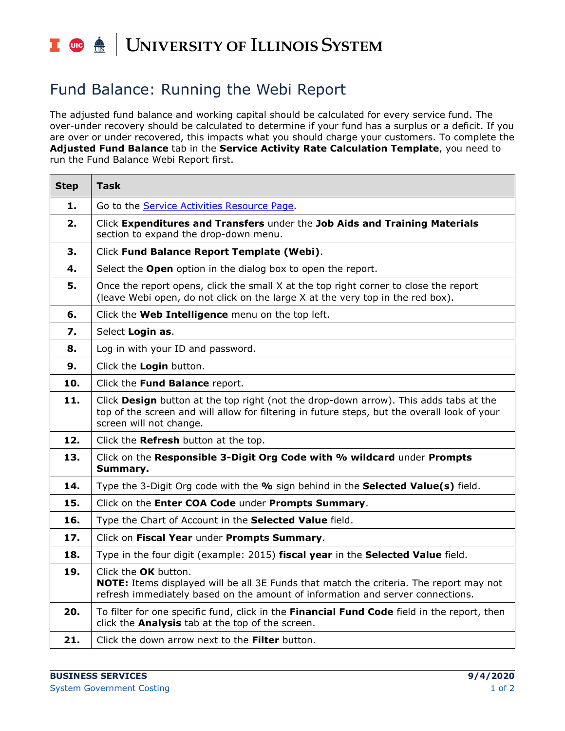## I die <u>dis</u> | UNIVERSITY OF ILLINOIS SYSTEM

## Fund Balance: Running the Webi Report

The adjusted fund balance and working capital should be calculated for every service fund. The over-under recovery should be calculated to determine if your fund has a surplus or a deficit. If you are over or under recovered, this impacts what you should charge your customers. To complete the **Adjusted Fund Balance** tab in the **Service Activity Rate Calculation Template**, you need to run the Fund Balance Webi Report first.

| <b>Step</b> | <b>Task</b>                                                                                                                                                                                                      |
|-------------|------------------------------------------------------------------------------------------------------------------------------------------------------------------------------------------------------------------|
| 1.          | Go to the Service Activities Resource Page.                                                                                                                                                                      |
| 2.          | Click Expenditures and Transfers under the Job Aids and Training Materials<br>section to expand the drop-down menu.                                                                                              |
| 3.          | Click Fund Balance Report Template (Webi).                                                                                                                                                                       |
| 4.          | Select the Open option in the dialog box to open the report.                                                                                                                                                     |
| 5.          | Once the report opens, click the small X at the top right corner to close the report<br>(leave Webi open, do not click on the large X at the very top in the red box).                                           |
| 6.          | Click the Web Intelligence menu on the top left.                                                                                                                                                                 |
| 7.          | Select Login as.                                                                                                                                                                                                 |
| 8.          | Log in with your ID and password.                                                                                                                                                                                |
| 9.          | Click the Login button.                                                                                                                                                                                          |
| 10.         | Click the Fund Balance report.                                                                                                                                                                                   |
| 11.         | Click Design button at the top right (not the drop-down arrow). This adds tabs at the<br>top of the screen and will allow for filtering in future steps, but the overall look of your<br>screen will not change. |
| 12.         | Click the Refresh button at the top.                                                                                                                                                                             |
| 13.         | Click on the Responsible 3-Digit Org Code with % wildcard under Prompts<br>Summary.                                                                                                                              |
| 14.         | Type the 3-Digit Org code with the % sign behind in the Selected Value(s) field.                                                                                                                                 |
| 15.         | Click on the Enter COA Code under Prompts Summary.                                                                                                                                                               |
| 16.         | Type the Chart of Account in the Selected Value field.                                                                                                                                                           |
| 17.         | Click on Fiscal Year under Prompts Summary.                                                                                                                                                                      |
| 18.         | Type in the four digit (example: 2015) fiscal year in the Selected Value field.                                                                                                                                  |
| 19.         | Click the OK button.<br><b>NOTE:</b> Items displayed will be all 3E Funds that match the criteria. The report may not<br>refresh immediately based on the amount of information and server connections.          |
| 20.         | To filter for one specific fund, click in the Financial Fund Code field in the report, then<br>click the <b>Analysis</b> tab at the top of the screen.                                                           |
| 21.         | Click the down arrow next to the Filter button.                                                                                                                                                                  |